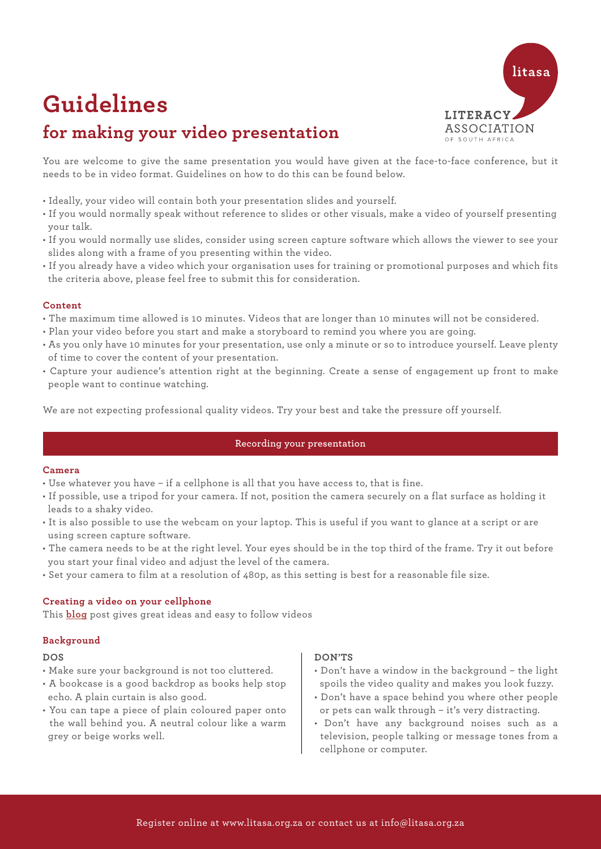

# **Guidelines**

# **for making your video presentation**

You are welcome to give the same presentation you would have given at the face-to-face conference, but it needs to be in video format. Guidelines on how to do this can be found below.

- Ideally, your video will contain both your presentation slides and yourself.
- If you would normally speak without reference to slides or other visuals, make a video of yourself presenting your talk.
- If you would normally use slides, consider using screen capture software which allows the viewer to see your slides along with a frame of you presenting within the video.
- If you already have a video which your organisation uses for training or promotional purposes and which fits the criteria above, please feel free to submit this for consideration.

#### **Content**

- The maximum time allowed is 10 minutes. Videos that are longer than 10 minutes will not be considered.
- Plan your video before you start and make a storyboard to remind you where you are going.
- As you only have 10 minutes for your presentation, use only a minute or so to introduce yourself. Leave plenty of time to cover the content of your presentation.
- Capture your audience's attention right at the beginning. Create a sense of engagement up front to make people want to continue watching.

We are not expecting professional quality videos. Try your best and take the pressure off yourself.

#### **Recording your presentation**

#### **Camera**

- Use whatever you have if a cellphone is all that you have access to, that is fine.
- If possible, use a tripod for your camera. If not, position the camera securely on a flat surface as holding it leads to a shaky video.
- It is also possible to use the webcam on your laptop. This is useful if you want to glance at a script or are using screen capture software.
- The camera needs to be at the right level. Your eyes should be in the top third of the frame. Try it out before you start your final video and adjust the level of the camera.
- Set your camera to film at a resolution of 480p, as this setting is best for a reasonable file size.

#### **Creating a video on your cellphone**

This **[blog](https://vimeo.com/blog/post/creating-video-on-your-phone/?fbclid=IwAR2yJSIR7M2SMqsmQxjZSY2KOiFaxYrCFuR5WncQDqFbkPnyJO8-13REcac)** post gives great ideas and easy to follow videos

#### **Background**

#### **DOS**

- Make sure your background is not too cluttered.
- • A bookcase is a good backdrop as books help stop echo. A plain curtain is also good.
- You can tape a piece of plain coloured paper onto the wall behind you. A neutral colour like a warm grey or beige works well.

#### **DON'TS**

- Don't have a window in the background the light spoils the video quality and makes you look fuzzy.
- Don't have a space behind you where other people or pets can walk through – it's very distracting.
- Don't have any background noises such as a television, people talking or message tones from a cellphone or computer.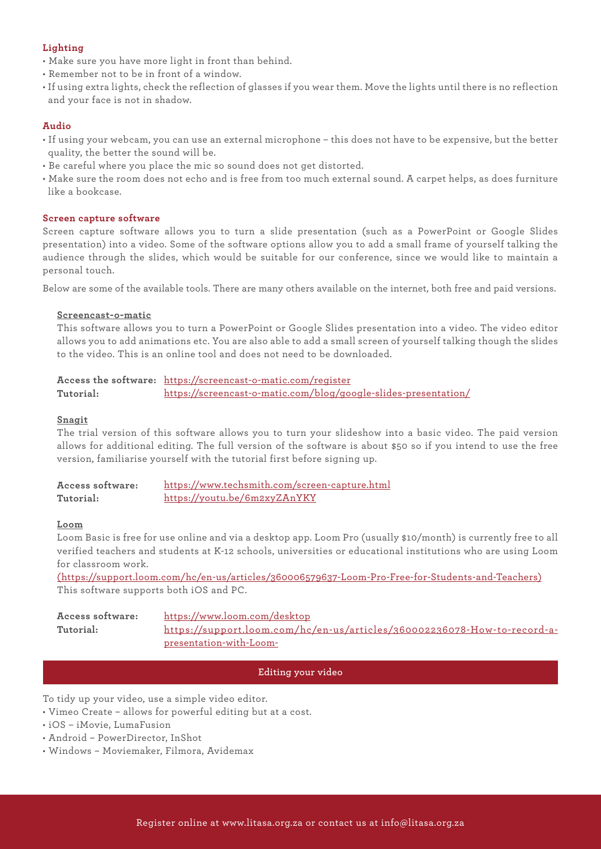## **Lighting**

- Make sure you have more light in front than behind.
- Remember not to be in front of a window.
- If using extra lights, check the reflection of glasses if you wear them. Move the lights until there is no reflection and your face is not in shadow.

### **Audio**

- If using your webcam, you can use an external microphone this does not have to be expensive, but the better quality, the better the sound will be.
- Be careful where you place the mic so sound does not get distorted.
- Make sure the room does not echo and is free from too much external sound. A carpet helps, as does furniture like a bookcase.

#### **Screen capture software**

Screen capture software allows you to turn a slide presentation (such as a PowerPoint or Google Slides presentation) into a video. Some of the software options allow you to add a small frame of yourself talking the audience through the slides, which would be suitable for our conference, since we would like to maintain a personal touch.

Below are some of the available tools. There are many others available on the internet, both free and paid versions.

#### **Screencast-o-matic**

This software allows you to turn a PowerPoint or Google Slides presentation into a video. The video editor allows you to add animations etc. You are also able to add a small screen of yourself talking though the slides to the video. This is an online tool and does not need to be downloaded.

**Access the software:**  https://screencast-o-matic.com/register **Tutorial:** https://screencast-o-matic.com/blog/google-slides-presentation/

#### **Snagit**

The trial version of this software allows you to turn your slideshow into a basic video. The paid version allows for additional editing. The full version of the software is about \$50 so if you intend to use the free version, familiarise yourself with the tutorial first before signing up.

| Access software: | https://www.techsmith.com/screen-capture.html |
|------------------|-----------------------------------------------|
| Tutorial:        | https://youtu.be/6m2xyZAnYKY                  |

#### **Loom**

Loom Basic is free for use online and via a desktop app. Loom Pro (usually \$10/month) is currently free to all verified teachers and students at K-12 schools, universities or educational institutions who are using Loom for classroom work.

(https://support.loom.com/hc/en-us/articles/360006579637-Loom-Pro-Free-for-Students-and-Teachers) This software supports both iOS and PC.

| Access software: | https://www.loom.com/desktop                                             |
|------------------|--------------------------------------------------------------------------|
| Tutorial:        | https://support.loom.com/hc/en-us/articles/360002236078-How-to-record-a- |
|                  | presentation-with-Loom-                                                  |

#### **Editing your video**

To tidy up your video, use a simple video editor.

- Vimeo Create allows for powerful editing but at a cost.
- iOS iMovie, LumaFusion
- Android PowerDirector, InShot
- Windows Moviemaker, Filmora, Avidemax